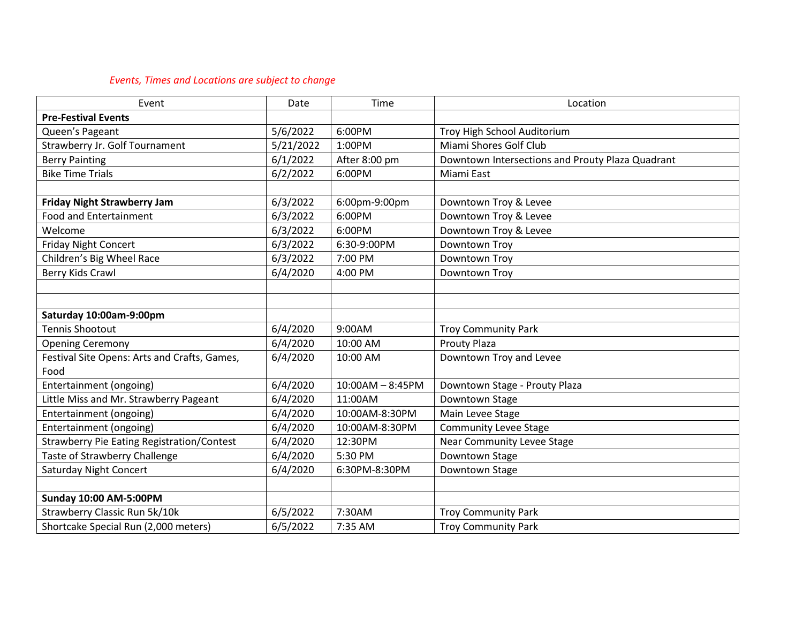## *Events, Times and Locations are subject to change*

| Event                                             | Date      | Time               | Location                                         |
|---------------------------------------------------|-----------|--------------------|--------------------------------------------------|
| <b>Pre-Festival Events</b>                        |           |                    |                                                  |
| Queen's Pageant                                   | 5/6/2022  | 6:00PM             | Troy High School Auditorium                      |
| Strawberry Jr. Golf Tournament                    | 5/21/2022 | 1:00PM             | Miami Shores Golf Club                           |
| <b>Berry Painting</b>                             | 6/1/2022  | After 8:00 pm      | Downtown Intersections and Prouty Plaza Quadrant |
| <b>Bike Time Trials</b>                           | 6/2/2022  | 6:00PM             | Miami East                                       |
|                                                   |           |                    |                                                  |
| <b>Friday Night Strawberry Jam</b>                | 6/3/2022  | 6:00pm-9:00pm      | Downtown Troy & Levee                            |
| Food and Entertainment                            | 6/3/2022  | 6:00PM             | Downtown Troy & Levee                            |
| Welcome                                           | 6/3/2022  | 6:00PM             | Downtown Troy & Levee                            |
| <b>Friday Night Concert</b>                       | 6/3/2022  | 6:30-9:00PM        | Downtown Troy                                    |
| Children's Big Wheel Race                         | 6/3/2022  | 7:00 PM            | Downtown Troy                                    |
| Berry Kids Crawl                                  | 6/4/2020  | 4:00 PM            | Downtown Troy                                    |
|                                                   |           |                    |                                                  |
|                                                   |           |                    |                                                  |
| Saturday 10:00am-9:00pm                           |           |                    |                                                  |
| <b>Tennis Shootout</b>                            | 6/4/2020  | 9:00AM             | <b>Troy Community Park</b>                       |
| <b>Opening Ceremony</b>                           | 6/4/2020  | 10:00 AM           | <b>Prouty Plaza</b>                              |
| Festival Site Opens: Arts and Crafts, Games,      | 6/4/2020  | 10:00 AM           | Downtown Troy and Levee                          |
| Food                                              |           |                    |                                                  |
| Entertainment (ongoing)                           | 6/4/2020  | $10:00AM - 8:45PM$ | Downtown Stage - Prouty Plaza                    |
| Little Miss and Mr. Strawberry Pageant            | 6/4/2020  | 11:00AM            | Downtown Stage                                   |
| Entertainment (ongoing)                           | 6/4/2020  | 10:00AM-8:30PM     | Main Levee Stage                                 |
| Entertainment (ongoing)                           | 6/4/2020  | 10:00AM-8:30PM     | <b>Community Levee Stage</b>                     |
| <b>Strawberry Pie Eating Registration/Contest</b> | 6/4/2020  | 12:30PM            | <b>Near Community Levee Stage</b>                |
| Taste of Strawberry Challenge                     | 6/4/2020  | 5:30 PM            | Downtown Stage                                   |
| <b>Saturday Night Concert</b>                     | 6/4/2020  | 6:30PM-8:30PM      | Downtown Stage                                   |
|                                                   |           |                    |                                                  |
| <b>Sunday 10:00 AM-5:00PM</b>                     |           |                    |                                                  |
| Strawberry Classic Run 5k/10k                     | 6/5/2022  | 7:30AM             | <b>Troy Community Park</b>                       |
| Shortcake Special Run (2,000 meters)              | 6/5/2022  | 7:35 AM            | <b>Troy Community Park</b>                       |